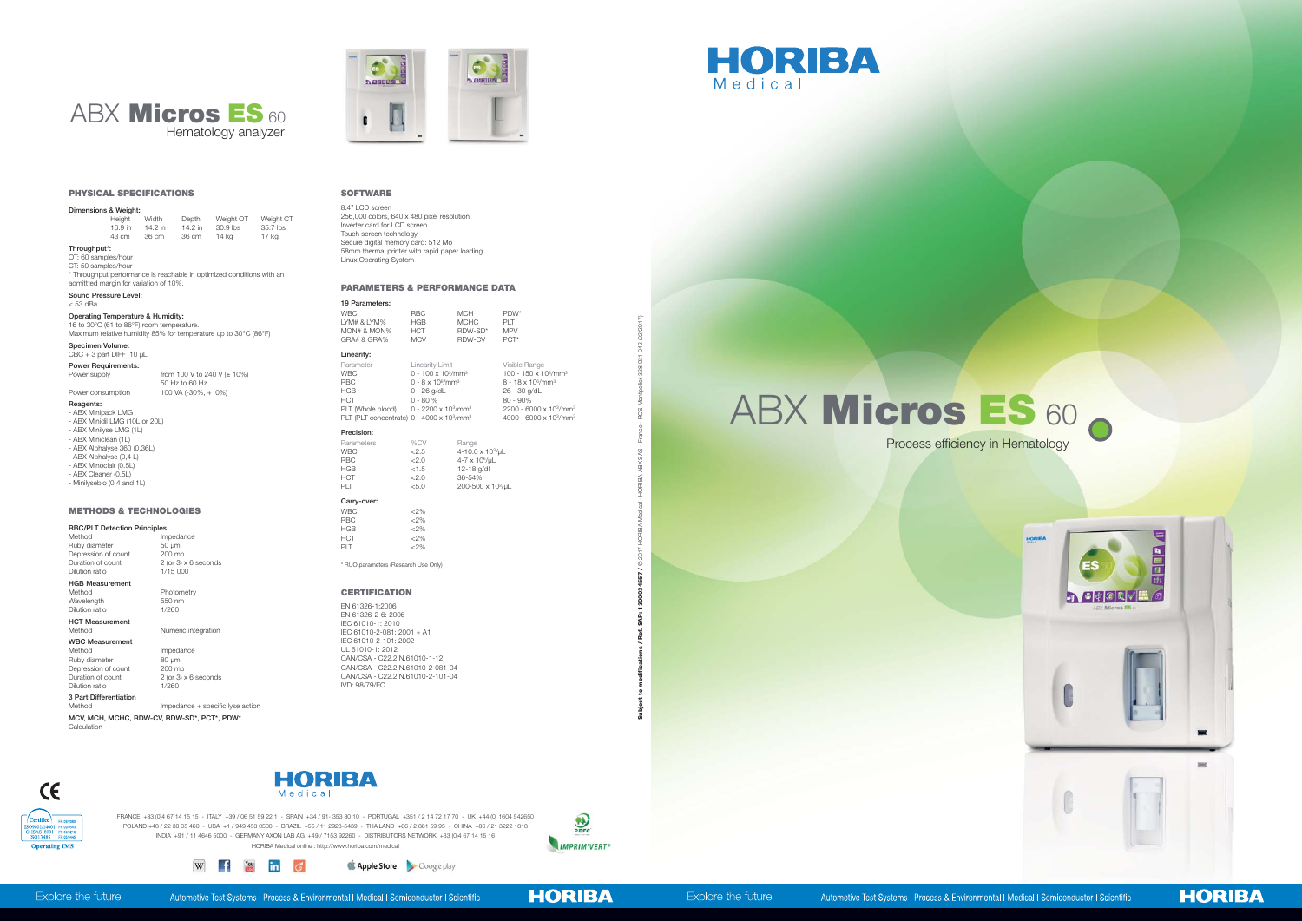



**HORIBA** 

#### Dimensions & Weight: Height Width Depth Weight OT Weight CT 16.9 in 14.2 in 14.2 in 30.9 lbs 35.7 lbs 43 cm 36 cm 36 cm 14 kg 17 kg Throughput\*: OT: 60 samples/hour CT: 50 samples/hour \* Throughput performance is reachable in optimized conditions withan admittted margin for variation of 10%. Sound Pressure Level: < 53 dBa Operating Temperature & Humidity: 16 to 30°C (61 to 86°F) room temperature. Maximum relative humidity 85% for temperature up to 30°C (86°F) Specimen Volume: CBC + 3 part DIFF 10 µL **Power Requirements:**<br>Power supply from 100 V to 240 V ( $\pm$  10%) 50 Hz to 60 Hz<br>100 VA (-30%, +10%) Power consumption Reagents: - ABX Minipack LMG - ABX Minidil LMG (10L or 20L) - ABX Minilyse LMG (1L) - ABX Miniclean (1L) - ABX Alphalyse 360 (0,36L) - ABX Alphalyse (0,4 L) - ABX Minoclair (0.5L) - ABX Cleaner (0.5L) - Minilysebio (0,4 and 1L) METHODS & TECHNOLOGIES RBC/PLT Detection Principles<br>Method Im Impedance<br>50 µm Ruby diameter 50 µm<br>Depression of count 200 mb Depression of count Duration of count 2 (or 3) x 6 seconds<br>
Dilution ratio 1/15 000 Dilution ratio **HGB Measurement**<br>Method Photometry<br>550 nm Wavelength 550 nm<br>Dilution ratio 1/260 Dilution ratio HCT Measurement Method Numeric integration WBC Measurement<br>Method Impedance<br>80 µm Ruby diameter  $80 \mu m$ <br>Depression of count  $200 \text{ mb}$ Depression of count<br>Duration of count  $2$  (or 3) x 6 seconds<br> $1/260$ Dilution ratio **3 Part Differentiation**<br>Method Impedance + specific lyse action MCV, MCH, MCHC, RDW-CV, RDW-SD\*, PCT\*, PDW\* **Calculation**





### **SOFTWARE**

#### PHYSICAL SPECIFICATIONS

## Carry-over:  $WBC < 2\%$ <br>RBC  $\leq 2\%$

RBC <2% HGB <2%  $HCT$   $\leq 2\%$ <br>PLT  $\leq 2\%$ 

## **CERTIFICATION**



8.4" LCD screen 256,000 colors, 640 x 480 pixel resolution Inverter card for LCD screen Touch screen technology Secure digital memory card: 512 Mo 58mm thermal printer with rapid paper loading Linux Operating System

#### PARAMETERS & PERFORMANCE DATA

| 19 Parameters: |            |               |            |
|----------------|------------|---------------|------------|
| WBC            | <b>RBC</b> | <b>MCH</b>    | PDW*       |
| LYM# & LYM%    | <b>HGB</b> | <b>MCHC</b>   | PIT        |
| MON# & MON%    | <b>HCT</b> | RDW-SD*       | <b>MPV</b> |
| GRA# & GRA%    | <b>MCV</b> | <b>RDW-CV</b> | $PCT*$     |
|                |            |               |            |

 $200 - 500 \times 10^3/\mu L$ 

Linearity:

| Parameter                                            | Linearity Limit                             | Visible Range                                  |
|------------------------------------------------------|---------------------------------------------|------------------------------------------------|
| <b>WBC</b>                                           | $0 - 100 \times 10^3$ /mm <sup>3</sup>      | 100 - 150 x 10 <sup>3</sup> /mm <sup>3</sup>   |
| <b>RBC</b>                                           | $0 - 8 \times 10^6$ /mm <sup>3</sup>        | $8 - 18 \times 10^6$ /mm <sup>3</sup>          |
| <b>HGB</b>                                           | $0 - 26$ g/dL                               | 26 - 30 g/dL                                   |
| <b>HCT</b>                                           | $0 - 80 %$                                  | $80 - 90%$                                     |
| PLT (Whole blood)                                    | 0 - 2200 x 10 <sup>3</sup> /mm <sup>3</sup> | 2200 - 6000 x 10 <sup>3</sup> /mm <sup>3</sup> |
| PLT (PLT concentrate) 0 - 4000 x 103/mm <sup>3</sup> |                                             | 4000 - 6000 x 10 <sup>3</sup> /mm <sup>3</sup> |

#### P

| Precision: |       |                              |
|------------|-------|------------------------------|
| Parameters | %CV   | Range                        |
| <b>WBC</b> | 2.5   | 4-10.0 x 10 <sup>3</sup> /uL |
| <b>RBC</b> | 200   | 4-7 x 10 <sup>6</sup> /uL    |
| <b>HGB</b> | < 1.5 | 12-18 g/dl                   |
| <b>HCT</b> | 22.0  | 36-54%                       |
| PIT        | < 5.0 | 200-500 x 103/L              |
|            |       |                              |

\* RUO parameters (Research Use Only)

 $2\%$ 

EN 61326-1:2006 EN 61326-2-6: 2006 IEC 61010-1: 2010 IEC 61010-2-081: 2001 + A1 IEC 61010-2-101: 2002 UL 61010-1: 2012 CAN/CSA - C22.2 N.61010-1-12 CAN/CSA - C22.2 N.61010-2-081-04 CAN/CSA - C22.2 N.61010-2-101-04 IVD: 98/79/EC

**Apple Store** Coogle play

Subject to modifications / Ref. SAP: 1300034557 / © 2017 HORIBA ABX SAS - France - RCS Montpeller 328 031 042 (02/2017) acs I SAS.  $\widetilde{\Xi}$  $\frac{1}{2}$  $300034557/$ تو<br>چ 흍 **Subject** 



 $\epsilon$ 

FRANCE +33 (0)4 67 14 15 15 - ITALY +39 / 06 51 59 22 1 - SPAIN +34 / 91- 353 30 10 - PORTUGAL +351 / 2 14 72 17 70 - UK +44 (0) 1604 542650 POLAND +48 / 22 30 05 460 - USA +1 / 949 453 0500 - BRAZIL +55 / 11 2923-5439 - THAILAND +66 / 2 861 59 95 - CHINA +86 / 21 3222 1818 INDIA +91 / 11 4646 5000 - GERMANY AXON LAB AG +49 / 7153 92260 - DISTRIBUTORS NETWORK +33 (0)4 67 14 15 16 HORIBA Medical online : http://www.horiba.com/medical

 $W$  f  $\frac{Y\circ u}{U}$  in  $\sigma$ 





## ABX Micros ES 60

Explore the future